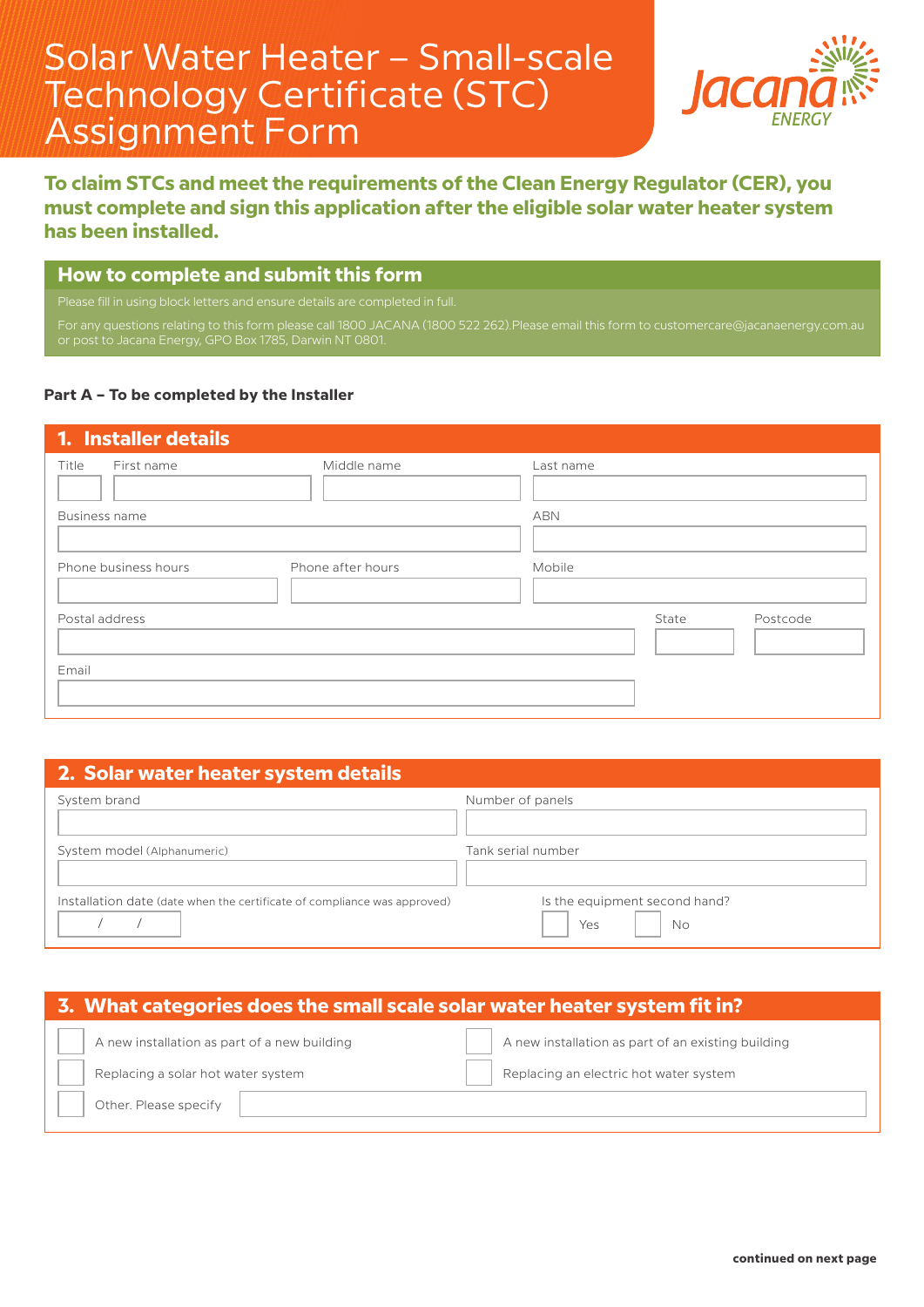# Solar Water Heater – Small-scale Technology Certificate (STC) Assignment Form



# **To claim STCs and meet the requirements of the Clean Energy Regulator (CER), you must complete and sign this application after the eligible solar water heater system has been installed.**

#### **How to complete and submit this form**

Please fill in using block letters and ensure details are completed in full.

For any questions relating to this form please call 1800 JACANA (1800 522 262).Please email this form to customercare@jacanaenergy.com.au or post to Jacana Energy, GPO Box 1785, Darwin NT 0801.

#### **Part A – To be completed by the Installer**

| 1. Installer details |                   |           |       |          |
|----------------------|-------------------|-----------|-------|----------|
| Title<br>First name  | Middle name       | Last name |       |          |
| Business name        |                   | ABN       |       |          |
| Phone business hours | Phone after hours | Mobile    |       |          |
| Postal address       |                   |           | State | Postcode |
| Email                |                   |           |       |          |

#### **2. Solar water heater system details**

| System brand                                                             | Number of panels                           |
|--------------------------------------------------------------------------|--------------------------------------------|
| System model (Alphanumeric)                                              | Tank serial number                         |
| Installation date (date when the certificate of compliance was approved) | Is the equipment second hand?<br>No<br>Yes |

#### **3. What categories does the small scale solar water heater system fit in?**

| A new installation as part of a new building |  | A new installation as part of an existing building |
|----------------------------------------------|--|----------------------------------------------------|
| Replacing a solar hot water system           |  | Replacing an electric hot water system             |
| Other. Please specify                        |  |                                                    |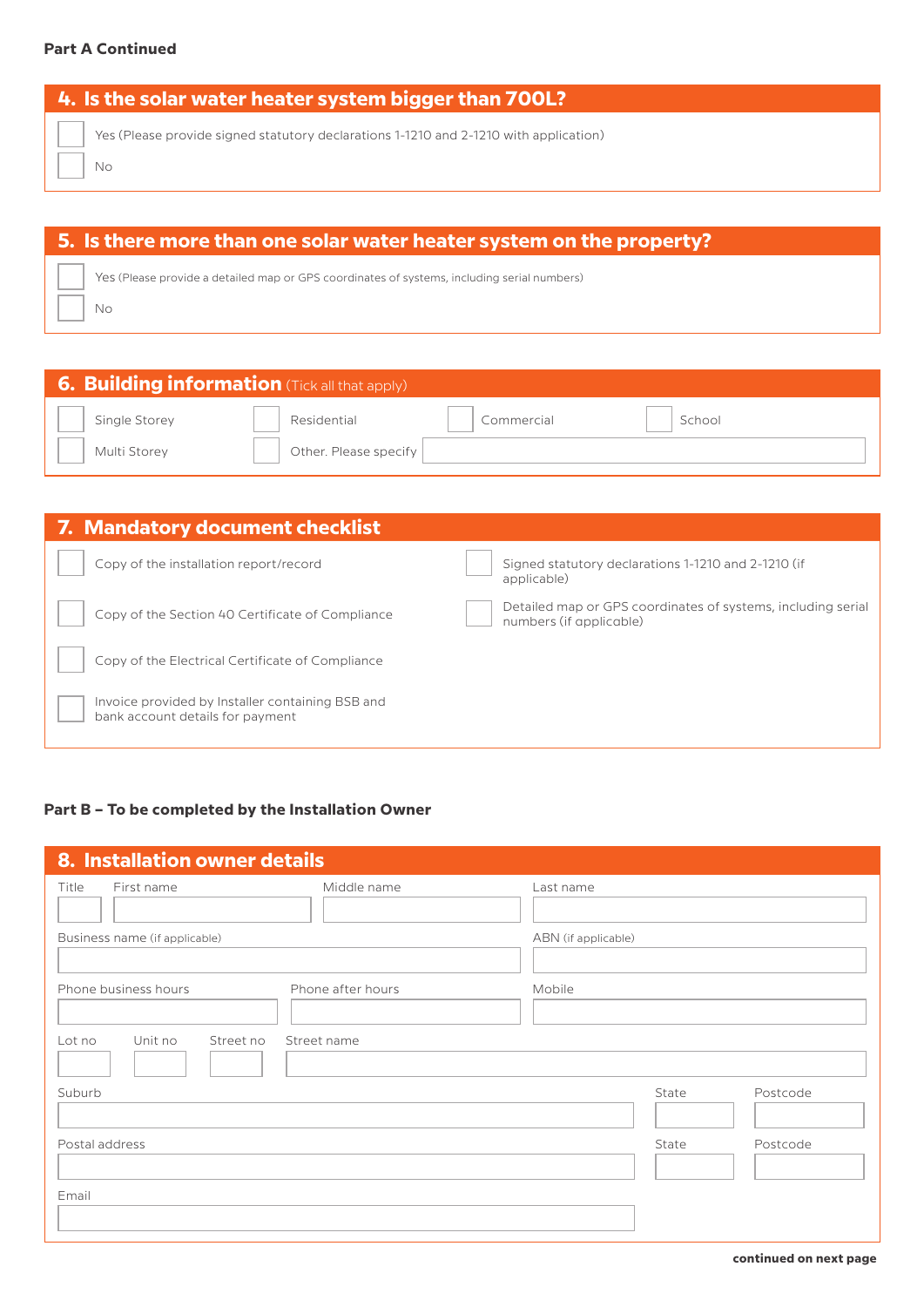#### **Part A Continued**

| Yes (Please provide signed statutory declarations 1-1210 and 2-1210 with application)<br>Νo | 4. Is the solar water heater system bigger than 700L? |  |  |  |  |
|---------------------------------------------------------------------------------------------|-------------------------------------------------------|--|--|--|--|
|                                                                                             |                                                       |  |  |  |  |

# **5. Is there more than one solar water heater system on the property?**

Yes (Please provide a detailed map or GPS coordinates of systems, including serial numbers)

No

| <b>6. Building information</b> (Tick all that apply) |                       |            |        |  |  |
|------------------------------------------------------|-----------------------|------------|--------|--|--|
| Single Storey                                        | Residential           | Commercial | School |  |  |
| Multi Storey                                         | Other. Please specify |            |        |  |  |

| 7. Mandatory document checklist                                                      |                                                                                         |
|--------------------------------------------------------------------------------------|-----------------------------------------------------------------------------------------|
| Copy of the installation report/record                                               | Signed statutory declarations 1-1210 and 2-1210 (if<br>applicable)                      |
| Copy of the Section 40 Certificate of Compliance                                     | Detailed map or GPS coordinates of systems, including serial<br>numbers (if applicable) |
| Copy of the Electrical Certificate of Compliance                                     |                                                                                         |
| Invoice provided by Installer containing BSB and<br>bank account details for payment |                                                                                         |

### **Part B – To be completed by the Installation Owner**

| 8. Installation owner details  |                   |                     |       |          |
|--------------------------------|-------------------|---------------------|-------|----------|
| Title<br>First name            | Middle name       | Last name           |       |          |
| Business name (if applicable)  |                   | ABN (if applicable) |       |          |
| Phone business hours           | Phone after hours | Mobile              |       |          |
| Unit no<br>Street no<br>Lot no | Street name       |                     |       |          |
| Suburb                         |                   |                     | State | Postcode |
| Postal address                 |                   |                     | State | Postcode |
| Email                          |                   |                     |       |          |